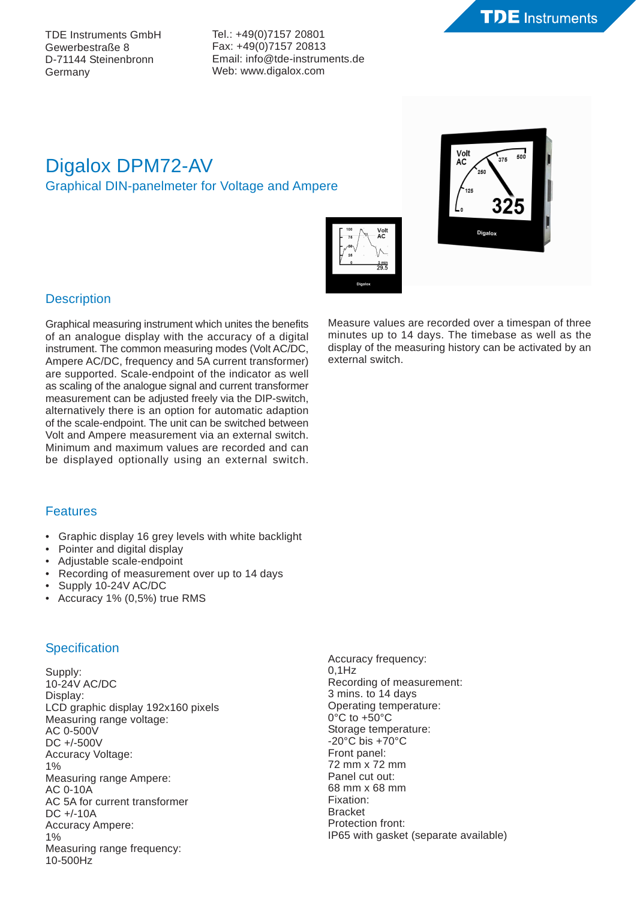**TDE** Instruments

TDE Instruments GmbH Gewerbestraße 8 D-71144 Steinenbronn Germany

Tel.: +49(0)7157 20801 Fax: +49(0)7157 20813 Email: info@tde-instruments.de Web: www.digalox.com

# Digalox DPM72-AV Graphical DIN-panelmeter for Voltage and Ampere



 $\frac{3 \text{ min}}{29.5}$ 

### **Description**

Graphical measuring instrument which unites the benefits of an analogue display with the accuracy of a digital instrument. The common measuring modes (Volt AC/DC, Ampere AC/DC, frequency and 5A current transformer) are supported. Scale-endpoint of the indicator as well as scaling of the analogue signal and current transformer measurement can be adjusted freely via the DIP-switch, alternatively there is an option for automatic adaption of the scale-endpoint. The unit can be switched between Volt and Ampere measurement via an external switch. Minimum and maximum values are recorded and can be displayed optionally using an external switch.

Measure values are recorded over a timespan of three minutes up to 14 days. The timebase as well as the display of the measuring history can be activated by an external switch.

#### Features

- Graphic display 16 grey levels with white backlight
- Pointer and digital display
- Adjustable scale-endpoint
- Recording of measurement over up to 14 days
- Supply 10-24V AC/DC
- Accuracy 1% (0,5%) true RMS

## **Specification**

Supply: 10-24V AC/DC Display: LCD graphic display 192x160 pixels Measuring range voltage: AC 0-500V DC +/-500V Accuracy Voltage: 1% Measuring range Ampere: AC 0-10A AC 5A for current transformer DC +/-10A Accuracy Ampere: 1% Measuring range frequency: 10-500Hz

Accuracy frequency: 0,1Hz Recording of measurement: 3 mins. to 14 days Operating temperature: 0°C to +50°C Storage temperature:  $-20^{\circ}$ C bis  $+70^{\circ}$ C Front panel: 72 mm x 72 mm Panel cut out: 68 mm x 68 mm Fixation: Bracket Protection front: IP65 with gasket (separate available)